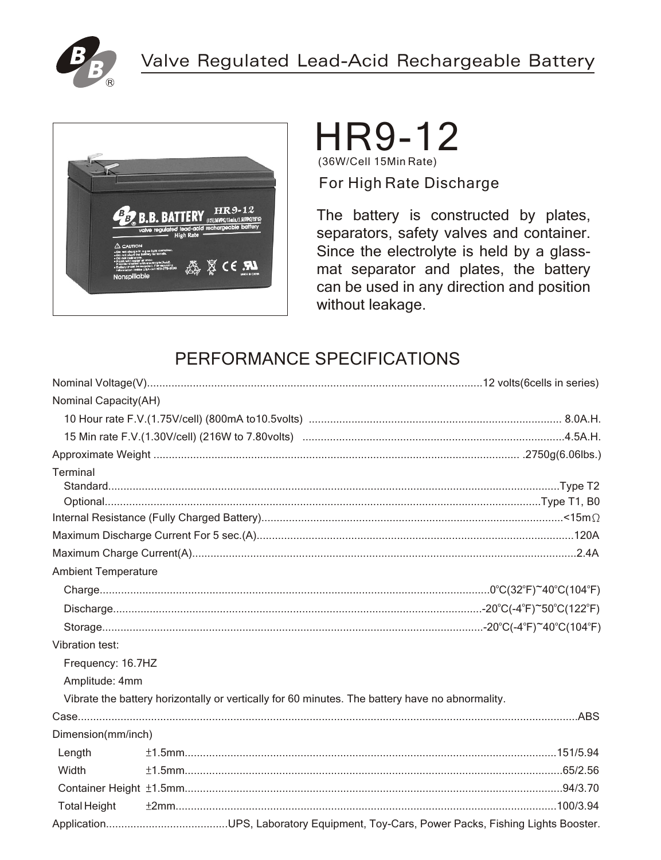



# HR9-12

(36W/Cell 15Min Rate) For High Rate Discharge

The battery is constructed by plates, separators, safety valves and container. Since the electrolyte is held by a glassmat separator and plates, the battery can be used in any direction and position without leakage.

## PERFORMANCE SPECIFICATIONS

| Nominal Capacity(AH)       |                                                                                                 |
|----------------------------|-------------------------------------------------------------------------------------------------|
|                            |                                                                                                 |
|                            |                                                                                                 |
|                            |                                                                                                 |
| Terminal                   |                                                                                                 |
|                            |                                                                                                 |
|                            |                                                                                                 |
|                            |                                                                                                 |
|                            |                                                                                                 |
|                            |                                                                                                 |
| <b>Ambient Temperature</b> |                                                                                                 |
|                            |                                                                                                 |
|                            |                                                                                                 |
|                            |                                                                                                 |
| <b>Vibration test:</b>     |                                                                                                 |
| Frequency: 16.7HZ          |                                                                                                 |
| Amplitude: 4mm             |                                                                                                 |
|                            | Vibrate the battery horizontally or vertically for 60 minutes. The battery have no abnormality. |
|                            |                                                                                                 |
| Dimension(mm/inch)         |                                                                                                 |
| Length                     |                                                                                                 |
| Width                      |                                                                                                 |
|                            |                                                                                                 |
| <b>Total Height</b>        |                                                                                                 |
|                            |                                                                                                 |